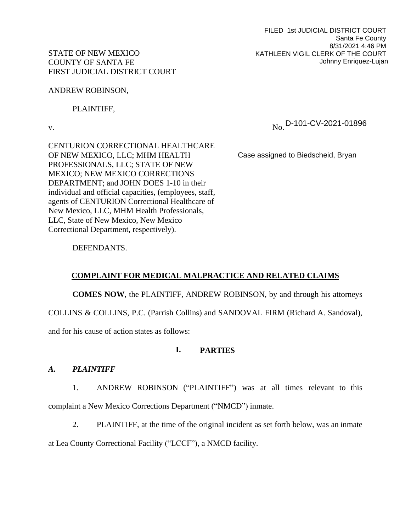FILED 1st JUDICIAL DISTRICT COURT Santa Fe County 8/31/2021 4:46 PM KATHLEEN VIGIL CLERK OF THE COURT Johnny Enriquez-Lujan

## STATE OF NEW MEXICO COUNTY OF SANTA FE FIRST JUDICIAL DISTRICT COURT

ANDREW ROBINSON,

PLAINTIFF,

v. No. No. D-101-CV-2021-01896

CENTURION CORRECTIONAL HEALTHCARE OF NEW MEXICO, LLC; MHM HEALTH PROFESSIONALS, LLC; STATE OF NEW MEXICO; NEW MEXICO CORRECTIONS DEPARTMENT; and JOHN DOES 1-10 in their individual and official capacities, (employees, staff, agents of CENTURION Correctional Healthcare of New Mexico, LLC, MHM Health Professionals, LLC, State of New Mexico, New Mexico Correctional Department, respectively).

Case assigned to Biedscheid, Bryan

DEFENDANTS.

# **COMPLAINT FOR MEDICAL MALPRACTICE AND RELATED CLAIMS**

**COMES NOW**, the PLAINTIFF, ANDREW ROBINSON, by and through his attorneys

COLLINS & COLLINS, P.C. (Parrish Collins) and SANDOVAL FIRM (Richard A. Sandoval),

and for his cause of action states as follows:

# **I. PARTIES**

## *A. PLAINTIFF*

1. ANDREW ROBINSON ("PLAINTIFF") was at all times relevant to this complaint a New Mexico Corrections Department ("NMCD") inmate.

2. PLAINTIFF, at the time of the original incident as set forth below, was an inmate

at Lea County Correctional Facility ("LCCF"), a NMCD facility.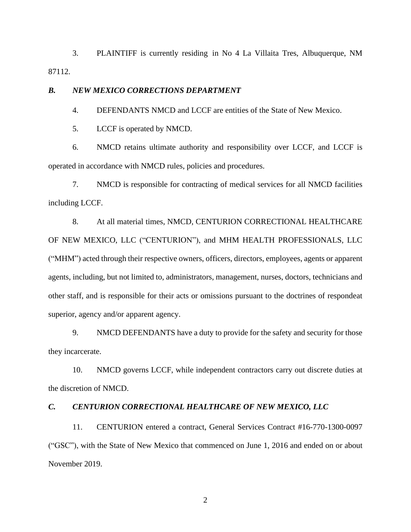3. PLAINTIFF is currently residing in No 4 La Villaita Tres, Albuquerque, NM 87112.

#### *B. NEW MEXICO CORRECTIONS DEPARTMENT*

4. DEFENDANTS NMCD and LCCF are entities of the State of New Mexico.

5. LCCF is operated by NMCD.

6. NMCD retains ultimate authority and responsibility over LCCF, and LCCF is operated in accordance with NMCD rules, policies and procedures.

7. NMCD is responsible for contracting of medical services for all NMCD facilities including LCCF.

8. At all material times, NMCD, CENTURION CORRECTIONAL HEALTHCARE OF NEW MEXICO, LLC ("CENTURION"), and MHM HEALTH PROFESSIONALS, LLC ("MHM") acted through their respective owners, officers, directors, employees, agents or apparent agents, including, but not limited to, administrators, management, nurses, doctors, technicians and other staff, and is responsible for their acts or omissions pursuant to the doctrines of respondeat superior, agency and/or apparent agency.

9. NMCD DEFENDANTS have a duty to provide for the safety and security for those they incarcerate.

10. NMCD governs LCCF, while independent contractors carry out discrete duties at the discretion of NMCD.

### *C. CENTURION CORRECTIONAL HEALTHCARE OF NEW MEXICO, LLC*

11. CENTURION entered a contract, General Services Contract #16-770-1300-0097 ("GSC"), with the State of New Mexico that commenced on June 1, 2016 and ended on or about November 2019.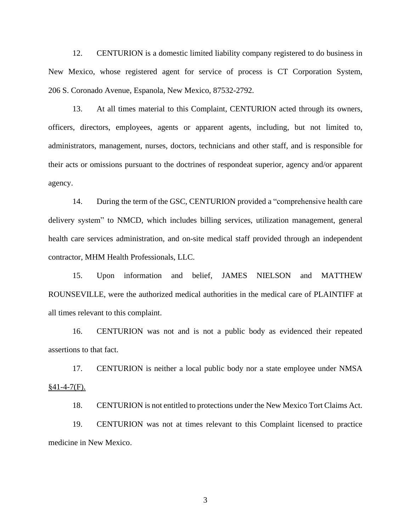12. CENTURION is a domestic limited liability company registered to do business in New Mexico, whose registered agent for service of process is CT Corporation System, 206 S. Coronado Avenue, Espanola, New Mexico, 87532-2792.

13. At all times material to this Complaint, CENTURION acted through its owners, officers, directors, employees, agents or apparent agents, including, but not limited to, administrators, management, nurses, doctors, technicians and other staff, and is responsible for their acts or omissions pursuant to the doctrines of respondeat superior, agency and/or apparent agency.

14. During the term of the GSC, CENTURION provided a "comprehensive health care delivery system" to NMCD, which includes billing services, utilization management, general health care services administration, and on-site medical staff provided through an independent contractor, MHM Health Professionals, LLC.

15. Upon information and belief, JAMES NIELSON and MATTHEW ROUNSEVILLE, were the authorized medical authorities in the medical care of PLAINTIFF at all times relevant to this complaint.

16. CENTURION was not and is not a public body as evidenced their repeated assertions to that fact.

17. CENTURION is neither a local public body nor a state employee under NMSA  $§41-4-7(F).$ 

18. CENTURION is not entitled to protections under the New Mexico Tort Claims Act.

19. CENTURION was not at times relevant to this Complaint licensed to practice medicine in New Mexico.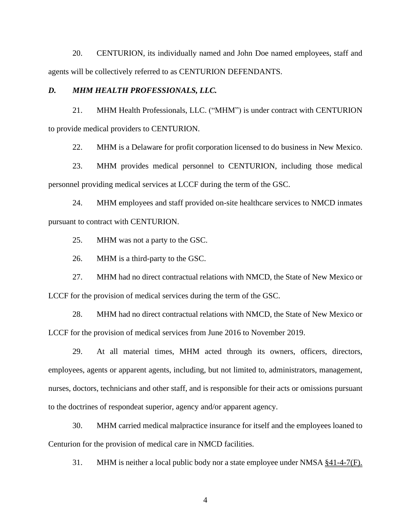20. CENTURION, its individually named and John Doe named employees, staff and agents will be collectively referred to as CENTURION DEFENDANTS.

#### *D. MHM HEALTH PROFESSIONALS, LLC.*

21. MHM Health Professionals, LLC. ("MHM") is under contract with CENTURION to provide medical providers to CENTURION.

22. MHM is a Delaware for profit corporation licensed to do business in New Mexico.

23. MHM provides medical personnel to CENTURION, including those medical personnel providing medical services at LCCF during the term of the GSC.

24. MHM employees and staff provided on-site healthcare services to NMCD inmates pursuant to contract with CENTURION.

25. MHM was not a party to the GSC.

26. MHM is a third-party to the GSC.

27. MHM had no direct contractual relations with NMCD, the State of New Mexico or LCCF for the provision of medical services during the term of the GSC.

28. MHM had no direct contractual relations with NMCD, the State of New Mexico or LCCF for the provision of medical services from June 2016 to November 2019.

29. At all material times, MHM acted through its owners, officers, directors, employees, agents or apparent agents, including, but not limited to, administrators, management, nurses, doctors, technicians and other staff, and is responsible for their acts or omissions pursuant to the doctrines of respondeat superior, agency and/or apparent agency.

30. MHM carried medical malpractice insurance for itself and the employees loaned to Centurion for the provision of medical care in NMCD facilities.

31. MHM is neither a local public body nor a state employee under NMSA §41-4-7(F).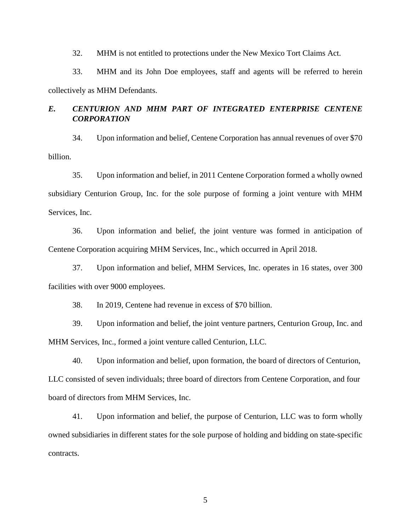32. MHM is not entitled to protections under the New Mexico Tort Claims Act.

33. MHM and its John Doe employees, staff and agents will be referred to herein collectively as MHM Defendants.

# *E. CENTURION AND MHM PART OF INTEGRATED ENTERPRISE CENTENE CORPORATION*

34. Upon information and belief, Centene Corporation has annual revenues of over \$70 billion.

35. Upon information and belief, in 2011 Centene Corporation formed a wholly owned subsidiary Centurion Group, Inc. for the sole purpose of forming a joint venture with MHM Services, Inc.

36. Upon information and belief, the joint venture was formed in anticipation of Centene Corporation acquiring MHM Services, Inc., which occurred in April 2018.

37. Upon information and belief, MHM Services, Inc. operates in 16 states, over 300 facilities with over 9000 employees.

38. In 2019, Centene had revenue in excess of \$70 billion.

39. Upon information and belief, the joint venture partners, Centurion Group, Inc. and MHM Services, Inc., formed a joint venture called Centurion, LLC.

40. Upon information and belief, upon formation, the board of directors of Centurion, LLC consisted of seven individuals; three board of directors from Centene Corporation, and four board of directors from MHM Services, Inc.

41. Upon information and belief, the purpose of Centurion, LLC was to form wholly owned subsidiaries in different states for the sole purpose of holding and bidding on state-specific contracts.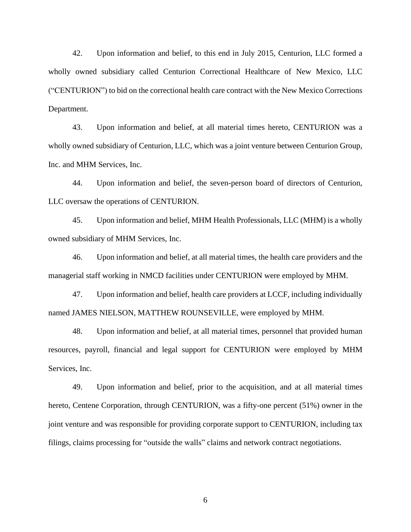42. Upon information and belief, to this end in July 2015, Centurion, LLC formed a wholly owned subsidiary called Centurion Correctional Healthcare of New Mexico, LLC ("CENTURION") to bid on the correctional health care contract with the New Mexico Corrections Department.

43. Upon information and belief, at all material times hereto, CENTURION was a wholly owned subsidiary of Centurion, LLC, which was a joint venture between Centurion Group, Inc. and MHM Services, Inc.

44. Upon information and belief, the seven-person board of directors of Centurion, LLC oversaw the operations of CENTURION.

45. Upon information and belief, MHM Health Professionals, LLC (MHM) is a wholly owned subsidiary of MHM Services, Inc.

46. Upon information and belief, at all material times, the health care providers and the managerial staff working in NMCD facilities under CENTURION were employed by MHM.

47. Upon information and belief, health care providers at LCCF, including individually named JAMES NIELSON, MATTHEW ROUNSEVILLE, were employed by MHM.

48. Upon information and belief, at all material times, personnel that provided human resources, payroll, financial and legal support for CENTURION were employed by MHM Services, Inc.

49. Upon information and belief, prior to the acquisition, and at all material times hereto, Centene Corporation, through CENTURION, was a fifty-one percent (51%) owner in the joint venture and was responsible for providing corporate support to CENTURION, including tax filings, claims processing for "outside the walls" claims and network contract negotiations.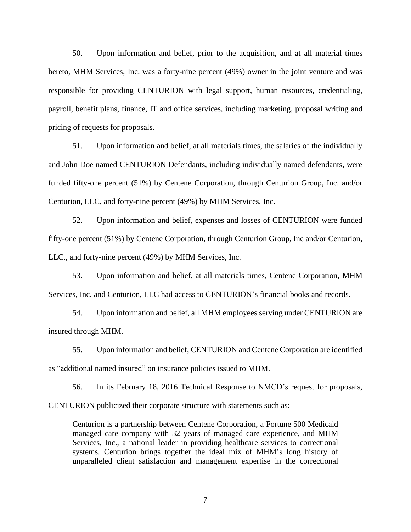50. Upon information and belief, prior to the acquisition, and at all material times hereto, MHM Services, Inc. was a forty-nine percent (49%) owner in the joint venture and was responsible for providing CENTURION with legal support, human resources, credentialing, payroll, benefit plans, finance, IT and office services, including marketing, proposal writing and pricing of requests for proposals.

51. Upon information and belief, at all materials times, the salaries of the individually and John Doe named CENTURION Defendants, including individually named defendants, were funded fifty-one percent (51%) by Centene Corporation, through Centurion Group, Inc. and/or Centurion, LLC, and forty-nine percent (49%) by MHM Services, Inc.

52. Upon information and belief, expenses and losses of CENTURION were funded fifty-one percent (51%) by Centene Corporation, through Centurion Group, Inc and/or Centurion, LLC., and forty-nine percent (49%) by MHM Services, Inc.

53. Upon information and belief, at all materials times, Centene Corporation, MHM Services, Inc. and Centurion, LLC had access to CENTURION's financial books and records.

54. Upon information and belief, all MHM employees serving under CENTURION are insured through MHM.

55. Upon information and belief, CENTURION and Centene Corporation are identified as "additional named insured" on insurance policies issued to MHM.

56. In its February 18, 2016 Technical Response to NMCD's request for proposals, CENTURION publicized their corporate structure with statements such as:

Centurion is a partnership between Centene Corporation, a Fortune 500 Medicaid managed care company with 32 years of managed care experience, and MHM Services, Inc., a national leader in providing healthcare services to correctional systems. Centurion brings together the ideal mix of MHM's long history of unparalleled client satisfaction and management expertise in the correctional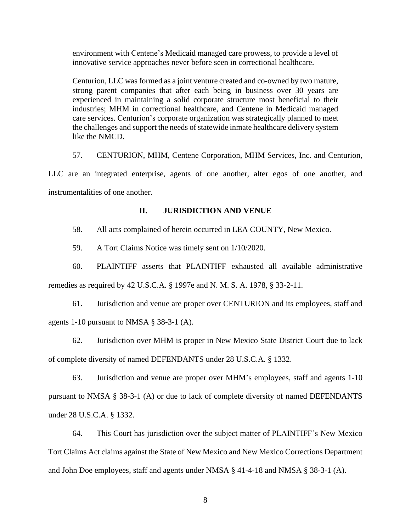environment with Centene's Medicaid managed care prowess, to provide a level of innovative service approaches never before seen in correctional healthcare.

Centurion, LLC was formed as a joint venture created and co-owned by two mature, strong parent companies that after each being in business over 30 years are experienced in maintaining a solid corporate structure most beneficial to their industries; MHM in correctional healthcare, and Centene in Medicaid managed care services. Centurion's corporate organization was strategically planned to meet the challenges and support the needs of statewide inmate healthcare delivery system like the NMCD.

57. CENTURION, MHM, Centene Corporation, MHM Services, Inc. and Centurion,

LLC are an integrated enterprise, agents of one another, alter egos of one another, and instrumentalities of one another.

#### **II. JURISDICTION AND VENUE**

58. All acts complained of herein occurred in LEA COUNTY, New Mexico.

59. A Tort Claims Notice was timely sent on 1/10/2020.

60. PLAINTIFF asserts that PLAINTIFF exhausted all available administrative

remedies as required by 42 U.S.C.A. § 1997e and N. M. S. A. 1978, § 33-2-11.

61. Jurisdiction and venue are proper over CENTURION and its employees, staff and agents 1-10 pursuant to NMSA § 38-3-1 (A).

62. Jurisdiction over MHM is proper in New Mexico State District Court due to lack of complete diversity of named DEFENDANTS under 28 U.S.C.A. § 1332.

63. Jurisdiction and venue are proper over MHM's employees, staff and agents 1-10 pursuant to NMSA § 38-3-1 (A) or due to lack of complete diversity of named DEFENDANTS under 28 U.S.C.A. § 1332.

64. This Court has jurisdiction over the subject matter of PLAINTIFF's New Mexico Tort Claims Act claims against the State of New Mexico and New Mexico Corrections Department and John Doe employees, staff and agents under NMSA § 41-4-18 and NMSA § 38-3-1 (A).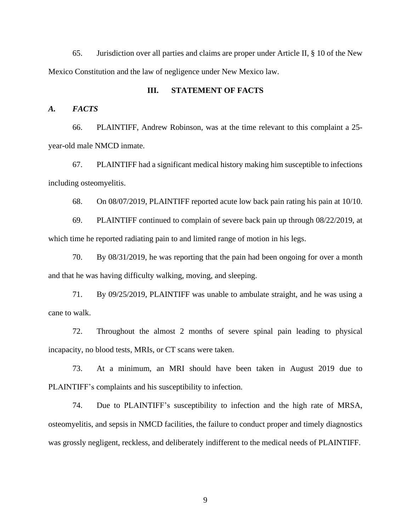65. Jurisdiction over all parties and claims are proper under Article II, § 10 of the New Mexico Constitution and the law of negligence under New Mexico law.

#### **III. STATEMENT OF FACTS**

#### *A. FACTS*

66. PLAINTIFF, Andrew Robinson, was at the time relevant to this complaint a 25 year-old male NMCD inmate.

67. PLAINTIFF had a significant medical history making him susceptible to infections including osteomyelitis.

68. On 08/07/2019, PLAINTIFF reported acute low back pain rating his pain at 10/10.

69. PLAINTIFF continued to complain of severe back pain up through 08/22/2019, at which time he reported radiating pain to and limited range of motion in his legs.

70. By 08/31/2019, he was reporting that the pain had been ongoing for over a month and that he was having difficulty walking, moving, and sleeping.

71. By 09/25/2019, PLAINTIFF was unable to ambulate straight, and he was using a cane to walk.

72. Throughout the almost 2 months of severe spinal pain leading to physical incapacity, no blood tests, MRIs, or CT scans were taken.

73. At a minimum, an MRI should have been taken in August 2019 due to PLAINTIFF's complaints and his susceptibility to infection.

74. Due to PLAINTIFF's susceptibility to infection and the high rate of MRSA, osteomyelitis, and sepsis in NMCD facilities, the failure to conduct proper and timely diagnostics was grossly negligent, reckless, and deliberately indifferent to the medical needs of PLAINTIFF.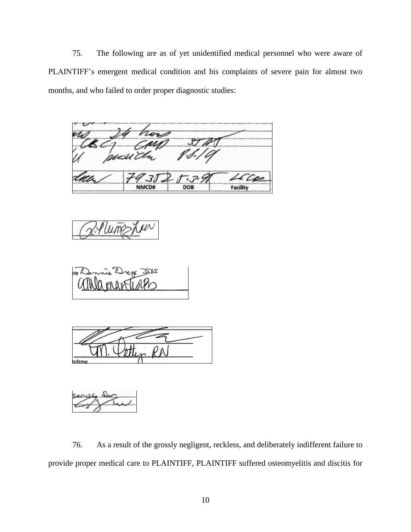75. The following are as of yet unidentified medical personnel who were aware of PLAINTIFF's emergent medical condition and his complaints of severe pain for almost two months, and who failed to order proper diagnostic studies:

Facility DOB NMCD#





76. As a result of the grossly negligent, reckless, and deliberately indifferent failure to provide proper medical care to PLAINTIFF, PLAINTIFF suffered osteomyelitis and discitis for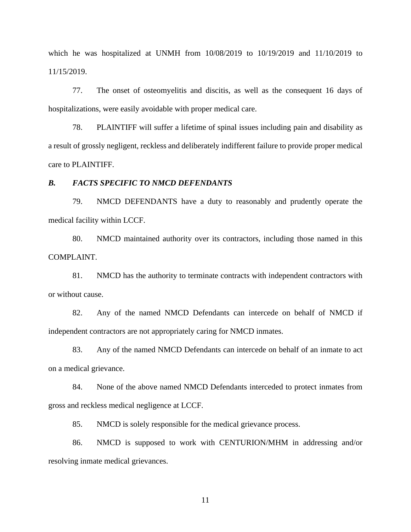which he was hospitalized at UNMH from 10/08/2019 to 10/19/2019 and 11/10/2019 to 11/15/2019.

77. The onset of osteomyelitis and discitis, as well as the consequent 16 days of hospitalizations, were easily avoidable with proper medical care.

78. PLAINTIFF will suffer a lifetime of spinal issues including pain and disability as a result of grossly negligent, reckless and deliberately indifferent failure to provide proper medical care to PLAINTIFF.

#### *B. FACTS SPECIFIC TO NMCD DEFENDANTS*

79. NMCD DEFENDANTS have a duty to reasonably and prudently operate the medical facility within LCCF.

80. NMCD maintained authority over its contractors, including those named in this COMPLAINT.

81. NMCD has the authority to terminate contracts with independent contractors with or without cause.

82. Any of the named NMCD Defendants can intercede on behalf of NMCD if independent contractors are not appropriately caring for NMCD inmates.

83. Any of the named NMCD Defendants can intercede on behalf of an inmate to act on a medical grievance.

84. None of the above named NMCD Defendants interceded to protect inmates from gross and reckless medical negligence at LCCF.

85. NMCD is solely responsible for the medical grievance process.

86. NMCD is supposed to work with CENTURION/MHM in addressing and/or resolving inmate medical grievances.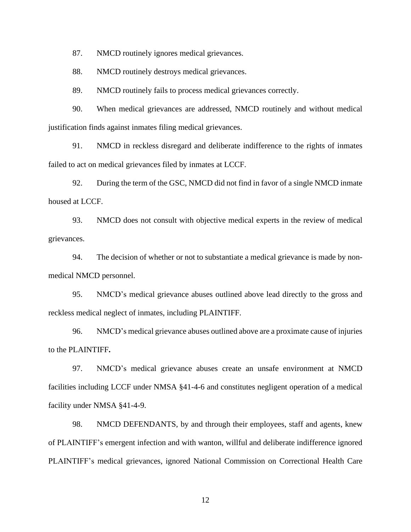87. NMCD routinely ignores medical grievances.

88. NMCD routinely destroys medical grievances.

89. NMCD routinely fails to process medical grievances correctly.

90. When medical grievances are addressed, NMCD routinely and without medical justification finds against inmates filing medical grievances.

91. NMCD in reckless disregard and deliberate indifference to the rights of inmates failed to act on medical grievances filed by inmates at LCCF.

92. During the term of the GSC, NMCD did not find in favor of a single NMCD inmate housed at LCCF.

93. NMCD does not consult with objective medical experts in the review of medical grievances.

94. The decision of whether or not to substantiate a medical grievance is made by nonmedical NMCD personnel.

95. NMCD's medical grievance abuses outlined above lead directly to the gross and reckless medical neglect of inmates, including PLAINTIFF.

96. NMCD's medical grievance abuses outlined above are a proximate cause of injuries to the PLAINTIFF**.**

97. NMCD's medical grievance abuses create an unsafe environment at NMCD facilities including LCCF under NMSA §41-4-6 and constitutes negligent operation of a medical facility under NMSA §41-4-9.

98. NMCD DEFENDANTS, by and through their employees, staff and agents, knew of PLAINTIFF's emergent infection and with wanton, willful and deliberate indifference ignored PLAINTIFF's medical grievances, ignored National Commission on Correctional Health Care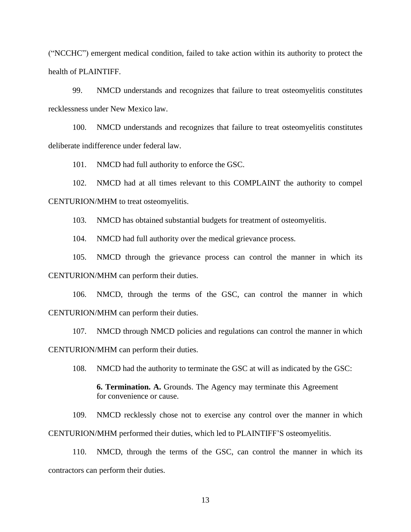("NCCHC") emergent medical condition, failed to take action within its authority to protect the health of PLAINTIFF.

99. NMCD understands and recognizes that failure to treat osteomyelitis constitutes recklessness under New Mexico law.

100. NMCD understands and recognizes that failure to treat osteomyelitis constitutes deliberate indifference under federal law.

101. NMCD had full authority to enforce the GSC.

102. NMCD had at all times relevant to this COMPLAINT the authority to compel CENTURION/MHM to treat osteomyelitis.

103. NMCD has obtained substantial budgets for treatment of osteomyelitis.

104. NMCD had full authority over the medical grievance process.

105. NMCD through the grievance process can control the manner in which its CENTURION/MHM can perform their duties.

106. NMCD, through the terms of the GSC, can control the manner in which CENTURION/MHM can perform their duties.

107. NMCD through NMCD policies and regulations can control the manner in which CENTURION/MHM can perform their duties.

108. NMCD had the authority to terminate the GSC at will as indicated by the GSC:

**6. Termination. A.** Grounds. The Agency may terminate this Agreement for convenience or cause.

109. NMCD recklessly chose not to exercise any control over the manner in which CENTURION/MHM performed their duties, which led to PLAINTIFF'S osteomyelitis.

110. NMCD, through the terms of the GSC, can control the manner in which its contractors can perform their duties.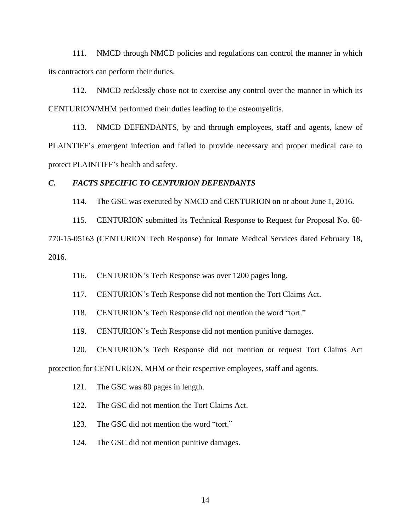111. NMCD through NMCD policies and regulations can control the manner in which its contractors can perform their duties.

112. NMCD recklessly chose not to exercise any control over the manner in which its CENTURION/MHM performed their duties leading to the osteomyelitis.

113. NMCD DEFENDANTS, by and through employees, staff and agents, knew of PLAINTIFF's emergent infection and failed to provide necessary and proper medical care to protect PLAINTIFF's health and safety.

#### *C. FACTS SPECIFIC TO CENTURION DEFENDANTS*

114. The GSC was executed by NMCD and CENTURION on or about June 1, 2016.

115. CENTURION submitted its Technical Response to Request for Proposal No. 60- 770-15-05163 (CENTURION Tech Response) for Inmate Medical Services dated February 18, 2016.

116. CENTURION's Tech Response was over 1200 pages long.

117. CENTURION's Tech Response did not mention the Tort Claims Act.

118. CENTURION's Tech Response did not mention the word "tort."

119. CENTURION's Tech Response did not mention punitive damages.

120. CENTURION's Tech Response did not mention or request Tort Claims Act

protection for CENTURION, MHM or their respective employees, staff and agents.

121. The GSC was 80 pages in length.

122. The GSC did not mention the Tort Claims Act.

123. The GSC did not mention the word "tort."

124. The GSC did not mention punitive damages.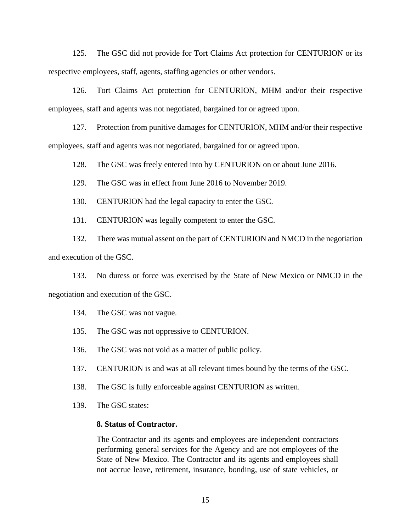125. The GSC did not provide for Tort Claims Act protection for CENTURION or its respective employees, staff, agents, staffing agencies or other vendors.

126. Tort Claims Act protection for CENTURION, MHM and/or their respective employees, staff and agents was not negotiated, bargained for or agreed upon.

127. Protection from punitive damages for CENTURION, MHM and/or their respective employees, staff and agents was not negotiated, bargained for or agreed upon.

128. The GSC was freely entered into by CENTURION on or about June 2016.

129. The GSC was in effect from June 2016 to November 2019.

130. CENTURION had the legal capacity to enter the GSC.

131. CENTURION was legally competent to enter the GSC.

132. There was mutual assent on the part of CENTURION and NMCD in the negotiation and execution of the GSC.

133. No duress or force was exercised by the State of New Mexico or NMCD in the negotiation and execution of the GSC.

134. The GSC was not vague.

- 135. The GSC was not oppressive to CENTURION.
- 136. The GSC was not void as a matter of public policy.
- 137. CENTURION is and was at all relevant times bound by the terms of the GSC.
- 138. The GSC is fully enforceable against CENTURION as written.
- 139. The GSC states:

#### **8. Status of Contractor.**

The Contractor and its agents and employees are independent contractors performing general services for the Agency and are not employees of the State of New Mexico. The Contractor and its agents and employees shall not accrue leave, retirement, insurance, bonding, use of state vehicles, or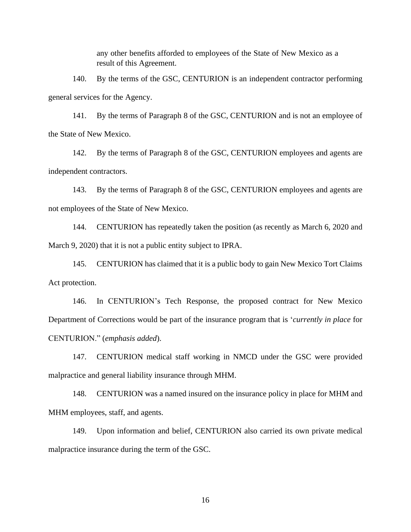any other benefits afforded to employees of the State of New Mexico as a result of this Agreement.

140. By the terms of the GSC, CENTURION is an independent contractor performing general services for the Agency.

141. By the terms of Paragraph 8 of the GSC, CENTURION and is not an employee of the State of New Mexico.

142. By the terms of Paragraph 8 of the GSC, CENTURION employees and agents are independent contractors.

143. By the terms of Paragraph 8 of the GSC, CENTURION employees and agents are not employees of the State of New Mexico.

144. CENTURION has repeatedly taken the position (as recently as March 6, 2020 and March 9, 2020) that it is not a public entity subject to IPRA.

145. CENTURION has claimed that it is a public body to gain New Mexico Tort Claims Act protection.

146. In CENTURION's Tech Response, the proposed contract for New Mexico Department of Corrections would be part of the insurance program that is '*currently in place* for CENTURION." (*emphasis added*).

147. CENTURION medical staff working in NMCD under the GSC were provided malpractice and general liability insurance through MHM.

148. CENTURION was a named insured on the insurance policy in place for MHM and MHM employees, staff, and agents.

149. Upon information and belief, CENTURION also carried its own private medical malpractice insurance during the term of the GSC.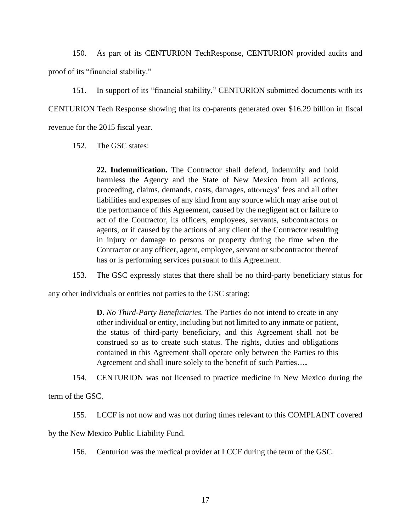150. As part of its CENTURION TechResponse, CENTURION provided audits and proof of its "financial stability."

151. In support of its "financial stability," CENTURION submitted documents with its CENTURION Tech Response showing that its co-parents generated over \$16.29 billion in fiscal revenue for the 2015 fiscal year.

152. The GSC states:

**22. Indemnification.** The Contractor shall defend, indemnify and hold harmless the Agency and the State of New Mexico from all actions, proceeding, claims, demands, costs, damages, attorneys' fees and all other liabilities and expenses of any kind from any source which may arise out of the performance of this Agreement, caused by the negligent act or failure to act of the Contractor, its officers, employees, servants, subcontractors or agents, or if caused by the actions of any client of the Contractor resulting in injury or damage to persons or property during the time when the Contractor or any officer, agent, employee, servant or subcontractor thereof has or is performing services pursuant to this Agreement.

153. The GSC expressly states that there shall be no third-party beneficiary status for

any other individuals or entities not parties to the GSC stating:

**D.** *No Third-Party Beneficiaries.* The Parties do not intend to create in any other individual or entity, including but not limited to any inmate or patient, the status of third-party beneficiary, and this Agreement shall not be construed so as to create such status. The rights, duties and obligations contained in this Agreement shall operate only between the Parties to this Agreement and shall inure solely to the benefit of such Parties…**.**

154. CENTURION was not licensed to practice medicine in New Mexico during the

term of the GSC.

155. LCCF is not now and was not during times relevant to this COMPLAINT covered

by the New Mexico Public Liability Fund.

156. Centurion was the medical provider at LCCF during the term of the GSC.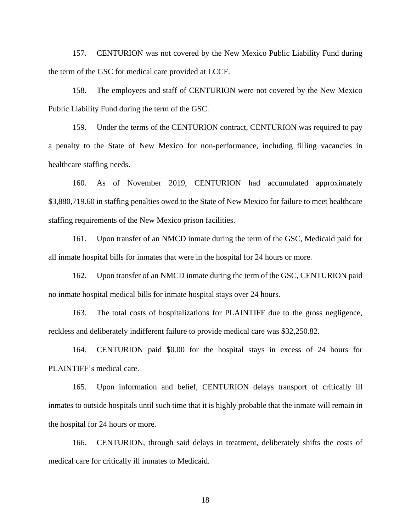157. CENTURION was not covered by the New Mexico Public Liability Fund during the term of the GSC for medical care provided at LCCF.

158. The employees and staff of CENTURION were not covered by the New Mexico Public Liability Fund during the term of the GSC.

159. Under the terms of the CENTURION contract, CENTURION was required to pay a penalty to the State of New Mexico for non-performance, including filling vacancies in healthcare staffing needs.

160. As of November 2019, CENTURION had accumulated approximately \$3,880,719.60 in staffing penalties owed to the State of New Mexico for failure to meet healthcare staffing requirements of the New Mexico prison facilities.

161. Upon transfer of an NMCD inmate during the term of the GSC, Medicaid paid for all inmate hospital bills for inmates that were in the hospital for 24 hours or more.

162. Upon transfer of an NMCD inmate during the term of the GSC, CENTURION paid no inmate hospital medical bills for inmate hospital stays over 24 hours.

163. The total costs of hospitalizations for PLAINTIFF due to the gross negligence, reckless and deliberately indifferent failure to provide medical care was \$32,250.82.

164. CENTURION paid \$0.00 for the hospital stays in excess of 24 hours for PLAINTIFF's medical care.

165. Upon information and belief, CENTURION delays transport of critically ill inmates to outside hospitals until such time that it is highly probable that the inmate will remain in the hospital for 24 hours or more.

166. CENTURION, through said delays in treatment, deliberately shifts the costs of medical care for critically ill inmates to Medicaid.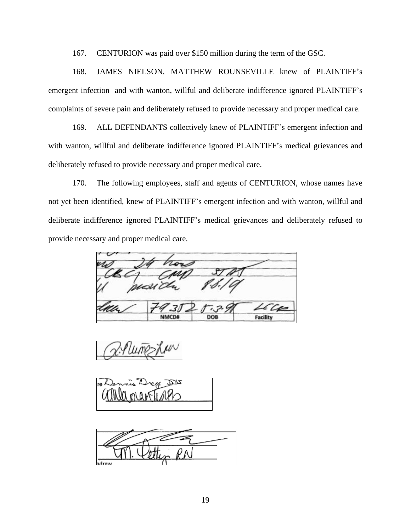167. CENTURION was paid over \$150 million during the term of the GSC.

168. JAMES NIELSON, MATTHEW ROUNSEVILLE knew of PLAINTIFF's emergent infection and with wanton, willful and deliberate indifference ignored PLAINTIFF's complaints of severe pain and deliberately refused to provide necessary and proper medical care.

169. ALL DEFENDANTS collectively knew of PLAINTIFF's emergent infection and with wanton, willful and deliberate indifference ignored PLAINTIFF's medical grievances and deliberately refused to provide necessary and proper medical care.

170. The following employees, staff and agents of CENTURION, whose names have not yet been identified, knew of PLAINTIFF's emergent infection and with wanton, willful and deliberate indifference ignored PLAINTIFF's medical grievances and deliberately refused to provide necessary and proper medical care.

**NMCD#** DOB **Facility** 



ndrew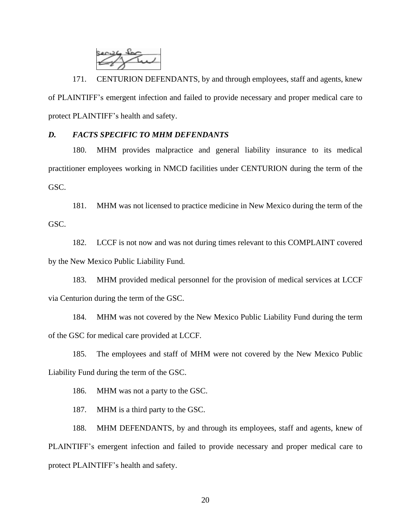

171. CENTURION DEFENDANTS, by and through employees, staff and agents, knew of PLAINTIFF's emergent infection and failed to provide necessary and proper medical care to protect PLAINTIFF's health and safety.

## *D. FACTS SPECIFIC TO MHM DEFENDANTS*

180. MHM provides malpractice and general liability insurance to its medical practitioner employees working in NMCD facilities under CENTURION during the term of the GSC.

181. MHM was not licensed to practice medicine in New Mexico during the term of the GSC.

182. LCCF is not now and was not during times relevant to this COMPLAINT covered by the New Mexico Public Liability Fund.

183. MHM provided medical personnel for the provision of medical services at LCCF via Centurion during the term of the GSC.

184. MHM was not covered by the New Mexico Public Liability Fund during the term of the GSC for medical care provided at LCCF.

185. The employees and staff of MHM were not covered by the New Mexico Public Liability Fund during the term of the GSC.

186. MHM was not a party to the GSC.

187. MHM is a third party to the GSC.

188. MHM DEFENDANTS, by and through its employees, staff and agents, knew of PLAINTIFF's emergent infection and failed to provide necessary and proper medical care to protect PLAINTIFF's health and safety.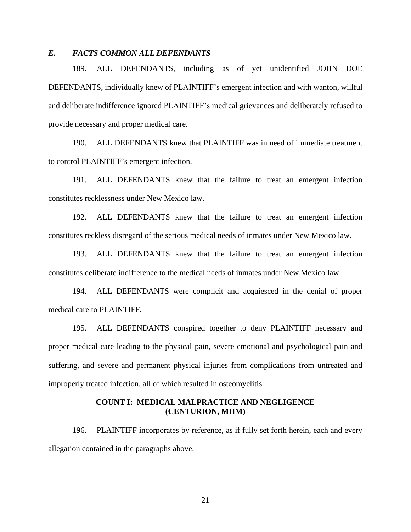## *E. FACTS COMMON ALL DEFENDANTS*

189. ALL DEFENDANTS, including as of yet unidentified JOHN DOE DEFENDANTS, individually knew of PLAINTIFF's emergent infection and with wanton, willful and deliberate indifference ignored PLAINTIFF's medical grievances and deliberately refused to provide necessary and proper medical care.

190. ALL DEFENDANTS knew that PLAINTIFF was in need of immediate treatment to control PLAINTIFF's emergent infection.

191. ALL DEFENDANTS knew that the failure to treat an emergent infection constitutes recklessness under New Mexico law.

192. ALL DEFENDANTS knew that the failure to treat an emergent infection constitutes reckless disregard of the serious medical needs of inmates under New Mexico law.

193. ALL DEFENDANTS knew that the failure to treat an emergent infection constitutes deliberate indifference to the medical needs of inmates under New Mexico law.

194. ALL DEFENDANTS were complicit and acquiesced in the denial of proper medical care to PLAINTIFF.

195. ALL DEFENDANTS conspired together to deny PLAINTIFF necessary and proper medical care leading to the physical pain, severe emotional and psychological pain and suffering, and severe and permanent physical injuries from complications from untreated and improperly treated infection, all of which resulted in osteomyelitis.

### **COUNT I: MEDICAL MALPRACTICE AND NEGLIGENCE (CENTURION, MHM)**

196. PLAINTIFF incorporates by reference, as if fully set forth herein, each and every allegation contained in the paragraphs above.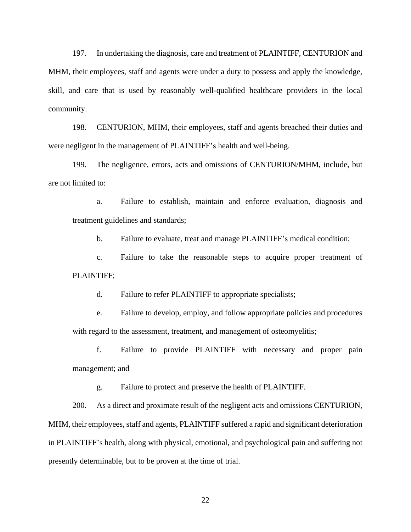197. In undertaking the diagnosis, care and treatment of PLAINTIFF, CENTURION and MHM, their employees, staff and agents were under a duty to possess and apply the knowledge, skill, and care that is used by reasonably well-qualified healthcare providers in the local community.

198. CENTURION, MHM, their employees, staff and agents breached their duties and were negligent in the management of PLAINTIFF's health and well-being.

199. The negligence, errors, acts and omissions of CENTURION/MHM, include, but are not limited to:

a. Failure to establish, maintain and enforce evaluation, diagnosis and treatment guidelines and standards;

b. Failure to evaluate, treat and manage PLAINTIFF's medical condition;

c. Failure to take the reasonable steps to acquire proper treatment of PLAINTIFF;

d. Failure to refer PLAINTIFF to appropriate specialists;

e. Failure to develop, employ, and follow appropriate policies and procedures with regard to the assessment, treatment, and management of osteomyelitis;

f. Failure to provide PLAINTIFF with necessary and proper pain management; and

g. Failure to protect and preserve the health of PLAINTIFF.

200. As a direct and proximate result of the negligent acts and omissions CENTURION, MHM, their employees, staff and agents, PLAINTIFF suffered a rapid and significant deterioration in PLAINTIFF's health, along with physical, emotional, and psychological pain and suffering not presently determinable, but to be proven at the time of trial.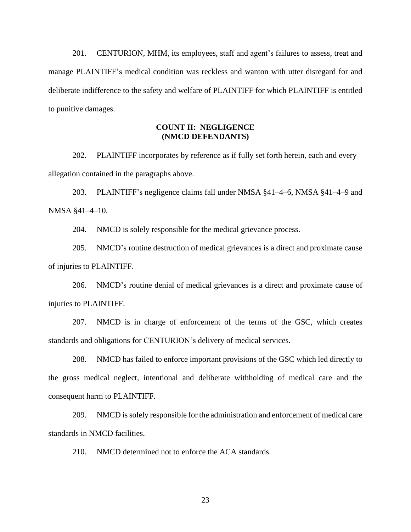201. CENTURION, MHM, its employees, staff and agent's failures to assess, treat and manage PLAINTIFF's medical condition was reckless and wanton with utter disregard for and deliberate indifference to the safety and welfare of PLAINTIFF for which PLAINTIFF is entitled to punitive damages.

## **COUNT II: NEGLIGENCE (NMCD DEFENDANTS)**

202. PLAINTIFF incorporates by reference as if fully set forth herein, each and every allegation contained in the paragraphs above.

203. PLAINTIFF's negligence claims fall under NMSA §41–4–6, NMSA §41–4–9 and NMSA §41–4–10.

204. NMCD is solely responsible for the medical grievance process.

205. NMCD's routine destruction of medical grievances is a direct and proximate cause of injuries to PLAINTIFF.

206. NMCD's routine denial of medical grievances is a direct and proximate cause of injuries to PLAINTIFF.

207. NMCD is in charge of enforcement of the terms of the GSC, which creates standards and obligations for CENTURION's delivery of medical services.

208. NMCD has failed to enforce important provisions of the GSC which led directly to the gross medical neglect, intentional and deliberate withholding of medical care and the consequent harm to PLAINTIFF.

209. NMCD issolely responsible for the administration and enforcement of medical care standards in NMCD facilities.

210. NMCD determined not to enforce the ACA standards.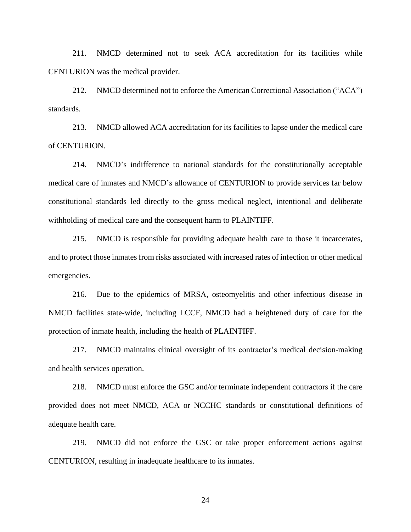211. NMCD determined not to seek ACA accreditation for its facilities while CENTURION was the medical provider.

212. NMCD determined not to enforce the American Correctional Association ("ACA") standards.

213. NMCD allowed ACA accreditation for its facilities to lapse under the medical care of CENTURION.

214. NMCD's indifference to national standards for the constitutionally acceptable medical care of inmates and NMCD's allowance of CENTURION to provide services far below constitutional standards led directly to the gross medical neglect, intentional and deliberate withholding of medical care and the consequent harm to PLAINTIFF.

215. NMCD is responsible for providing adequate health care to those it incarcerates, and to protect those inmates from risks associated with increased rates of infection or other medical emergencies.

216. Due to the epidemics of MRSA, osteomyelitis and other infectious disease in NMCD facilities state-wide, including LCCF, NMCD had a heightened duty of care for the protection of inmate health, including the health of PLAINTIFF.

217. NMCD maintains clinical oversight of its contractor's medical decision-making and health services operation.

218. NMCD must enforce the GSC and/or terminate independent contractors if the care provided does not meet NMCD, ACA or NCCHC standards or constitutional definitions of adequate health care.

219. NMCD did not enforce the GSC or take proper enforcement actions against CENTURION, resulting in inadequate healthcare to its inmates.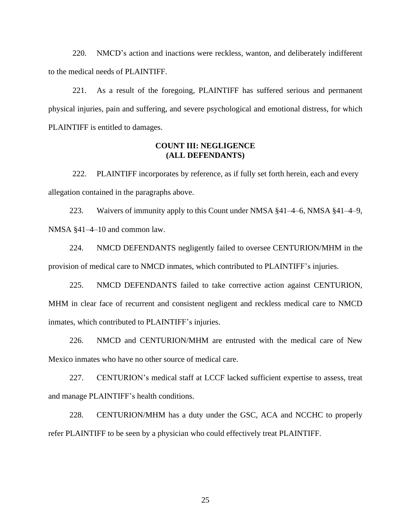220. NMCD's action and inactions were reckless, wanton, and deliberately indifferent to the medical needs of PLAINTIFF.

221. As a result of the foregoing, PLAINTIFF has suffered serious and permanent physical injuries, pain and suffering, and severe psychological and emotional distress, for which PLAINTIFF is entitled to damages.

#### **COUNT III: NEGLIGENCE (ALL DEFENDANTS)**

222. PLAINTIFF incorporates by reference, as if fully set forth herein, each and every allegation contained in the paragraphs above.

223. Waivers of immunity apply to this Count under NMSA  $\S 41-4-6$ , NMSA  $\S 41-4-9$ , NMSA §41–4–10 and common law.

224. NMCD DEFENDANTS negligently failed to oversee CENTURION/MHM in the provision of medical care to NMCD inmates, which contributed to PLAINTIFF's injuries.

225. NMCD DEFENDANTS failed to take corrective action against CENTURION, MHM in clear face of recurrent and consistent negligent and reckless medical care to NMCD inmates, which contributed to PLAINTIFF's injuries.

226. NMCD and CENTURION/MHM are entrusted with the medical care of New Mexico inmates who have no other source of medical care.

227. CENTURION's medical staff at LCCF lacked sufficient expertise to assess, treat and manage PLAINTIFF's health conditions.

228. CENTURION/MHM has a duty under the GSC, ACA and NCCHC to properly refer PLAINTIFF to be seen by a physician who could effectively treat PLAINTIFF.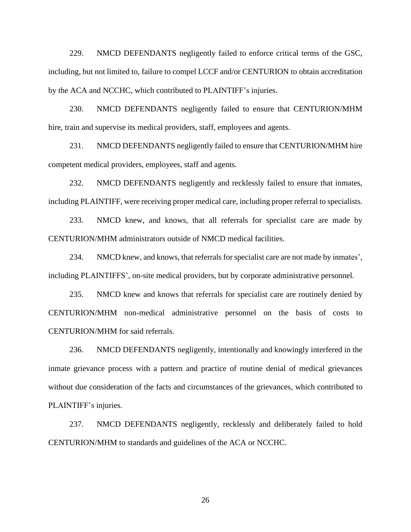229. NMCD DEFENDANTS negligently failed to enforce critical terms of the GSC, including, but not limited to, failure to compel LCCF and/or CENTURION to obtain accreditation by the ACA and NCCHC, which contributed to PLAINTIFF's injuries.

230. NMCD DEFENDANTS negligently failed to ensure that CENTURION/MHM hire, train and supervise its medical providers, staff, employees and agents.

231. NMCD DEFENDANTS negligently failed to ensure that CENTURION/MHM hire competent medical providers, employees, staff and agents.

232. NMCD DEFENDANTS negligently and recklessly failed to ensure that inmates, including PLAINTIFF, were receiving proper medical care, including proper referral to specialists.

233. NMCD knew, and knows, that all referrals for specialist care are made by CENTURION/MHM administrators outside of NMCD medical facilities.

234. NMCD knew, and knows, that referrals for specialist care are not made by inmates', including PLAINTIFFS', on-site medical providers, but by corporate administrative personnel.

235. NMCD knew and knows that referrals for specialist care are routinely denied by CENTURION/MHM non-medical administrative personnel on the basis of costs to CENTURION/MHM for said referrals.

236. NMCD DEFENDANTS negligently, intentionally and knowingly interfered in the inmate grievance process with a pattern and practice of routine denial of medical grievances without due consideration of the facts and circumstances of the grievances, which contributed to PLAINTIFF's injuries.

237. NMCD DEFENDANTS negligently, recklessly and deliberately failed to hold CENTURION/MHM to standards and guidelines of the ACA or NCCHC.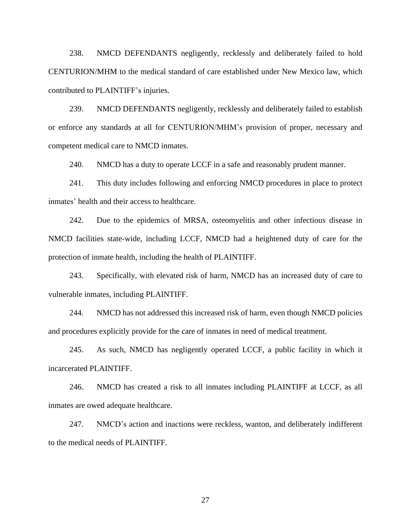238. NMCD DEFENDANTS negligently, recklessly and deliberately failed to hold CENTURION/MHM to the medical standard of care established under New Mexico law, which contributed to PLAINTIFF's injuries.

239. NMCD DEFENDANTS negligently, recklessly and deliberately failed to establish or enforce any standards at all for CENTURION/MHM's provision of proper, necessary and competent medical care to NMCD inmates.

240. NMCD has a duty to operate LCCF in a safe and reasonably prudent manner.

241. This duty includes following and enforcing NMCD procedures in place to protect inmates' health and their access to healthcare.

242. Due to the epidemics of MRSA, osteomyelitis and other infectious disease in NMCD facilities state-wide, including LCCF, NMCD had a heightened duty of care for the protection of inmate health, including the health of PLAINTIFF.

243. Specifically, with elevated risk of harm, NMCD has an increased duty of care to vulnerable inmates, including PLAINTIFF.

244. NMCD has not addressed this increased risk of harm, even though NMCD policies and procedures explicitly provide for the care of inmates in need of medical treatment.

245. As such, NMCD has negligently operated LCCF, a public facility in which it incarcerated PLAINTIFF.

246. NMCD has created a risk to all inmates including PLAINTIFF at LCCF, as all inmates are owed adequate healthcare.

247. NMCD's action and inactions were reckless, wanton, and deliberately indifferent to the medical needs of PLAINTIFF.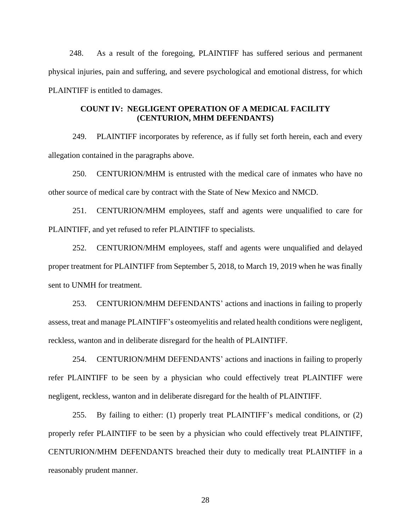248. As a result of the foregoing, PLAINTIFF has suffered serious and permanent physical injuries, pain and suffering, and severe psychological and emotional distress, for which PLAINTIFF is entitled to damages.

### **COUNT IV: NEGLIGENT OPERATION OF A MEDICAL FACILITY (CENTURION, MHM DEFENDANTS)**

249. PLAINTIFF incorporates by reference, as if fully set forth herein, each and every allegation contained in the paragraphs above.

250. CENTURION/MHM is entrusted with the medical care of inmates who have no other source of medical care by contract with the State of New Mexico and NMCD.

251. CENTURION/MHM employees, staff and agents were unqualified to care for PLAINTIFF, and yet refused to refer PLAINTIFF to specialists.

252. CENTURION/MHM employees, staff and agents were unqualified and delayed proper treatment for PLAINTIFF from September 5, 2018, to March 19, 2019 when he was finally sent to UNMH for treatment.

253. CENTURION/MHM DEFENDANTS' actions and inactions in failing to properly assess, treat and manage PLAINTIFF's osteomyelitis and related health conditions were negligent, reckless, wanton and in deliberate disregard for the health of PLAINTIFF.

254. CENTURION/MHM DEFENDANTS' actions and inactions in failing to properly refer PLAINTIFF to be seen by a physician who could effectively treat PLAINTIFF were negligent, reckless, wanton and in deliberate disregard for the health of PLAINTIFF.

255. By failing to either: (1) properly treat PLAINTIFF's medical conditions, or (2) properly refer PLAINTIFF to be seen by a physician who could effectively treat PLAINTIFF, CENTURION/MHM DEFENDANTS breached their duty to medically treat PLAINTIFF in a reasonably prudent manner.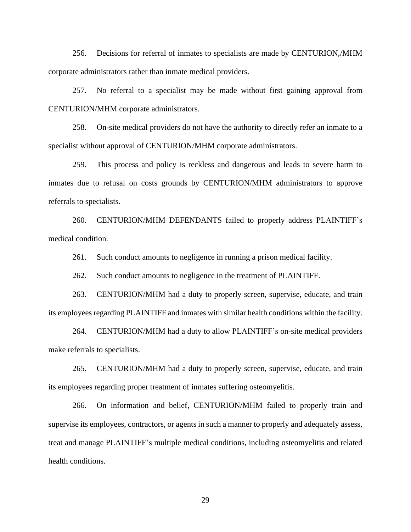256. Decisions for referral of inmates to specialists are made by CENTURION,/MHM corporate administrators rather than inmate medical providers.

257. No referral to a specialist may be made without first gaining approval from CENTURION/MHM corporate administrators.

258. On-site medical providers do not have the authority to directly refer an inmate to a specialist without approval of CENTURION/MHM corporate administrators.

259. This process and policy is reckless and dangerous and leads to severe harm to inmates due to refusal on costs grounds by CENTURION/MHM administrators to approve referrals to specialists.

260. CENTURION/MHM DEFENDANTS failed to properly address PLAINTIFF's medical condition.

261. Such conduct amounts to negligence in running a prison medical facility.

262. Such conduct amounts to negligence in the treatment of PLAINTIFF.

263. CENTURION/MHM had a duty to properly screen, supervise, educate, and train its employees regarding PLAINTIFF and inmates with similar health conditions within the facility.

264. CENTURION/MHM had a duty to allow PLAINTIFF's on-site medical providers make referrals to specialists.

265. CENTURION/MHM had a duty to properly screen, supervise, educate, and train its employees regarding proper treatment of inmates suffering osteomyelitis.

266. On information and belief, CENTURION/MHM failed to properly train and supervise its employees, contractors, or agents in such a manner to properly and adequately assess, treat and manage PLAINTIFF's multiple medical conditions, including osteomyelitis and related health conditions.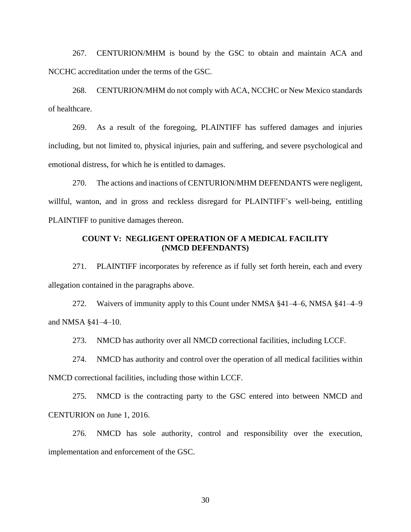267. CENTURION/MHM is bound by the GSC to obtain and maintain ACA and NCCHC accreditation under the terms of the GSC.

268. CENTURION/MHM do not comply with ACA, NCCHC or New Mexico standards of healthcare.

269. As a result of the foregoing, PLAINTIFF has suffered damages and injuries including, but not limited to, physical injuries, pain and suffering, and severe psychological and emotional distress, for which he is entitled to damages.

270. The actions and inactions of CENTURION/MHM DEFENDANTS were negligent, willful, wanton, and in gross and reckless disregard for PLAINTIFF's well-being, entitling PLAINTIFF to punitive damages thereon.

## **COUNT V: NEGLIGENT OPERATION OF A MEDICAL FACILITY (NMCD DEFENDANTS)**

271. PLAINTIFF incorporates by reference as if fully set forth herein, each and every allegation contained in the paragraphs above.

272. Waivers of immunity apply to this Count under NMSA §41–4–6, NMSA §41–4–9 and NMSA §41–4–10.

273. NMCD has authority over all NMCD correctional facilities, including LCCF.

274. NMCD has authority and control over the operation of all medical facilities within NMCD correctional facilities, including those within LCCF.

275. NMCD is the contracting party to the GSC entered into between NMCD and CENTURION on June 1, 2016.

276. NMCD has sole authority, control and responsibility over the execution, implementation and enforcement of the GSC.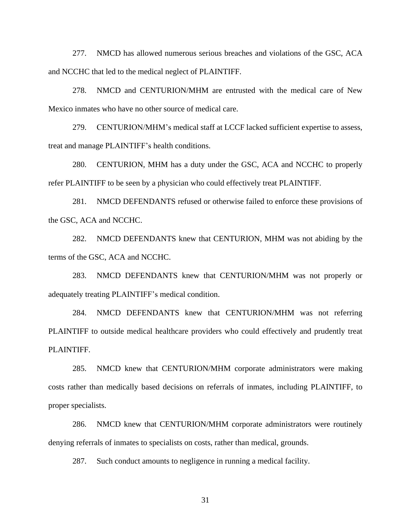277. NMCD has allowed numerous serious breaches and violations of the GSC, ACA and NCCHC that led to the medical neglect of PLAINTIFF.

278. NMCD and CENTURION/MHM are entrusted with the medical care of New Mexico inmates who have no other source of medical care.

279. CENTURION/MHM's medical staff at LCCF lacked sufficient expertise to assess, treat and manage PLAINTIFF's health conditions.

280. CENTURION, MHM has a duty under the GSC, ACA and NCCHC to properly refer PLAINTIFF to be seen by a physician who could effectively treat PLAINTIFF.

281. NMCD DEFENDANTS refused or otherwise failed to enforce these provisions of the GSC, ACA and NCCHC.

282. NMCD DEFENDANTS knew that CENTURION, MHM was not abiding by the terms of the GSC, ACA and NCCHC.

283. NMCD DEFENDANTS knew that CENTURION/MHM was not properly or adequately treating PLAINTIFF's medical condition.

284. NMCD DEFENDANTS knew that CENTURION/MHM was not referring PLAINTIFF to outside medical healthcare providers who could effectively and prudently treat PLAINTIFF.

285. NMCD knew that CENTURION/MHM corporate administrators were making costs rather than medically based decisions on referrals of inmates, including PLAINTIFF, to proper specialists.

286. NMCD knew that CENTURION/MHM corporate administrators were routinely denying referrals of inmates to specialists on costs, rather than medical, grounds.

287. Such conduct amounts to negligence in running a medical facility.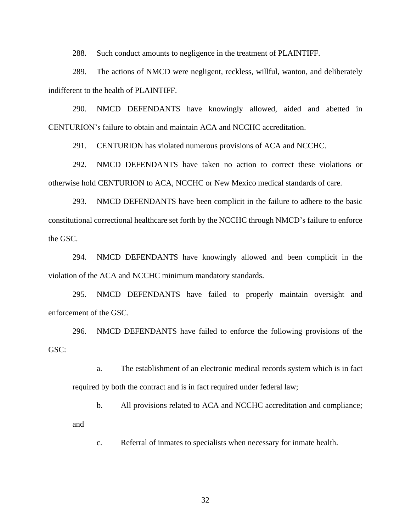288. Such conduct amounts to negligence in the treatment of PLAINTIFF.

289. The actions of NMCD were negligent, reckless, willful, wanton, and deliberately indifferent to the health of PLAINTIFF.

290. NMCD DEFENDANTS have knowingly allowed, aided and abetted in CENTURION's failure to obtain and maintain ACA and NCCHC accreditation.

291. CENTURION has violated numerous provisions of ACA and NCCHC.

292. NMCD DEFENDANTS have taken no action to correct these violations or otherwise hold CENTURION to ACA, NCCHC or New Mexico medical standards of care.

293. NMCD DEFENDANTS have been complicit in the failure to adhere to the basic constitutional correctional healthcare set forth by the NCCHC through NMCD's failure to enforce the GSC.

294. NMCD DEFENDANTS have knowingly allowed and been complicit in the violation of the ACA and NCCHC minimum mandatory standards.

295. NMCD DEFENDANTS have failed to properly maintain oversight and enforcement of the GSC.

296. NMCD DEFENDANTS have failed to enforce the following provisions of the GSC:

a. The establishment of an electronic medical records system which is in fact required by both the contract and is in fact required under federal law;

b. All provisions related to ACA and NCCHC accreditation and compliance; and

c. Referral of inmates to specialists when necessary for inmate health.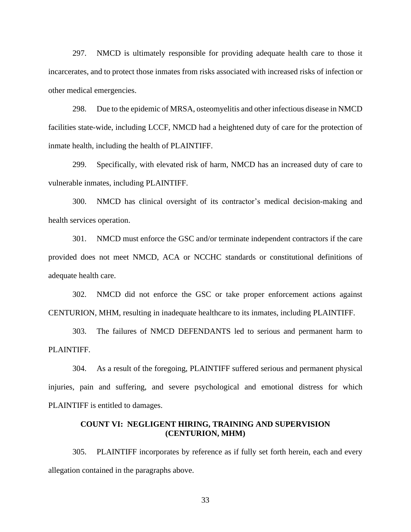297. NMCD is ultimately responsible for providing adequate health care to those it incarcerates, and to protect those inmates from risks associated with increased risks of infection or other medical emergencies.

298. Due to the epidemic of MRSA, osteomyelitis and other infectious disease in NMCD facilities state-wide, including LCCF, NMCD had a heightened duty of care for the protection of inmate health, including the health of PLAINTIFF.

299. Specifically, with elevated risk of harm, NMCD has an increased duty of care to vulnerable inmates, including PLAINTIFF.

300. NMCD has clinical oversight of its contractor's medical decision-making and health services operation.

301. NMCD must enforce the GSC and/or terminate independent contractors if the care provided does not meet NMCD, ACA or NCCHC standards or constitutional definitions of adequate health care.

302. NMCD did not enforce the GSC or take proper enforcement actions against CENTURION, MHM, resulting in inadequate healthcare to its inmates, including PLAINTIFF.

303. The failures of NMCD DEFENDANTS led to serious and permanent harm to PLAINTIFF.

304. As a result of the foregoing, PLAINTIFF suffered serious and permanent physical injuries, pain and suffering, and severe psychological and emotional distress for which PLAINTIFF is entitled to damages.

### **COUNT VI: NEGLIGENT HIRING, TRAINING AND SUPERVISION (CENTURION, MHM)**

305. PLAINTIFF incorporates by reference as if fully set forth herein, each and every allegation contained in the paragraphs above.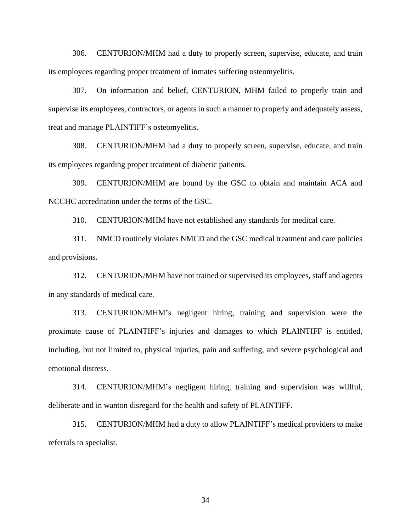306. CENTURION/MHM had a duty to properly screen, supervise, educate, and train its employees regarding proper treatment of inmates suffering osteomyelitis.

307. On information and belief, CENTURION, MHM failed to properly train and supervise its employees, contractors, or agents in such a manner to properly and adequately assess, treat and manage PLAINTIFF's osteomyelitis.

308. CENTURION/MHM had a duty to properly screen, supervise, educate, and train its employees regarding proper treatment of diabetic patients.

309. CENTURION/MHM are bound by the GSC to obtain and maintain ACA and NCCHC accreditation under the terms of the GSC.

310. CENTURION/MHM have not established any standards for medical care.

311. NMCD routinely violates NMCD and the GSC medical treatment and care policies and provisions.

312. CENTURION/MHM have not trained or supervised its employees, staff and agents in any standards of medical care.

313. CENTURION/MHM's negligent hiring, training and supervision were the proximate cause of PLAINTIFF's injuries and damages to which PLAINTIFF is entitled, including, but not limited to, physical injuries, pain and suffering, and severe psychological and emotional distress.

314. CENTURION/MHM's negligent hiring, training and supervision was willful, deliberate and in wanton disregard for the health and safety of PLAINTIFF.

315. CENTURION/MHM had a duty to allow PLAINTIFF's medical providers to make referrals to specialist.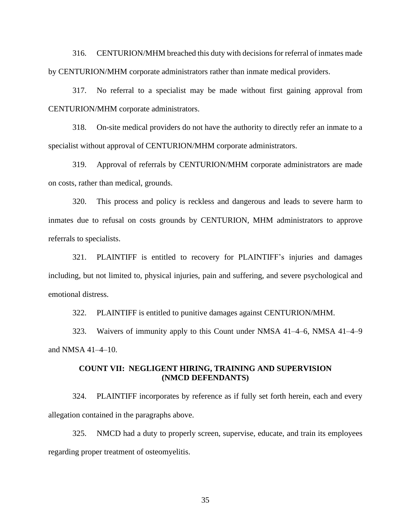316. CENTURION/MHM breached this duty with decisionsfor referral of inmates made by CENTURION/MHM corporate administrators rather than inmate medical providers.

317. No referral to a specialist may be made without first gaining approval from CENTURION/MHM corporate administrators.

318. On-site medical providers do not have the authority to directly refer an inmate to a specialist without approval of CENTURION/MHM corporate administrators.

319. Approval of referrals by CENTURION/MHM corporate administrators are made on costs, rather than medical, grounds.

320. This process and policy is reckless and dangerous and leads to severe harm to inmates due to refusal on costs grounds by CENTURION, MHM administrators to approve referrals to specialists.

321. PLAINTIFF is entitled to recovery for PLAINTIFF's injuries and damages including, but not limited to, physical injuries, pain and suffering, and severe psychological and emotional distress.

322. PLAINTIFF is entitled to punitive damages against CENTURION/MHM.

323. Waivers of immunity apply to this Count under NMSA 41–4–6, NMSA 41–4–9 and NMSA 41–4–10.

#### **COUNT VII: NEGLIGENT HIRING, TRAINING AND SUPERVISION (NMCD DEFENDANTS)**

324. PLAINTIFF incorporates by reference as if fully set forth herein, each and every allegation contained in the paragraphs above.

325. NMCD had a duty to properly screen, supervise, educate, and train its employees regarding proper treatment of osteomyelitis.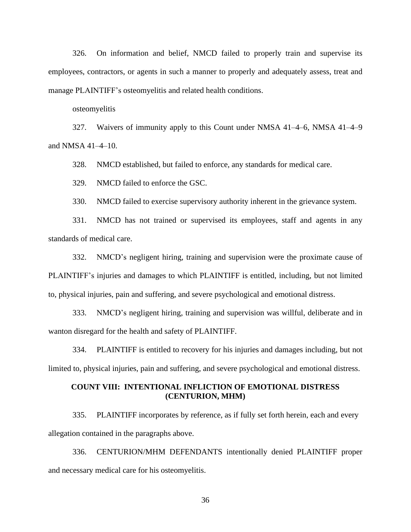326. On information and belief, NMCD failed to properly train and supervise its employees, contractors, or agents in such a manner to properly and adequately assess, treat and manage PLAINTIFF's osteomyelitis and related health conditions.

osteomyelitis

327. Waivers of immunity apply to this Count under NMSA 41–4–6, NMSA 41–4–9 and NMSA 41–4–10.

328. NMCD established, but failed to enforce, any standards for medical care.

329. NMCD failed to enforce the GSC.

330. NMCD failed to exercise supervisory authority inherent in the grievance system.

331. NMCD has not trained or supervised its employees, staff and agents in any standards of medical care.

332. NMCD's negligent hiring, training and supervision were the proximate cause of PLAINTIFF's injuries and damages to which PLAINTIFF is entitled, including, but not limited to, physical injuries, pain and suffering, and severe psychological and emotional distress.

333. NMCD's negligent hiring, training and supervision was willful, deliberate and in wanton disregard for the health and safety of PLAINTIFF.

334. PLAINTIFF is entitled to recovery for his injuries and damages including, but not limited to, physical injuries, pain and suffering, and severe psychological and emotional distress.

## **COUNT VIII: INTENTIONAL INFLICTION OF EMOTIONAL DISTRESS (CENTURION, MHM)**

335. PLAINTIFF incorporates by reference, as if fully set forth herein, each and every allegation contained in the paragraphs above.

336. CENTURION/MHM DEFENDANTS intentionally denied PLAINTIFF proper and necessary medical care for his osteomyelitis.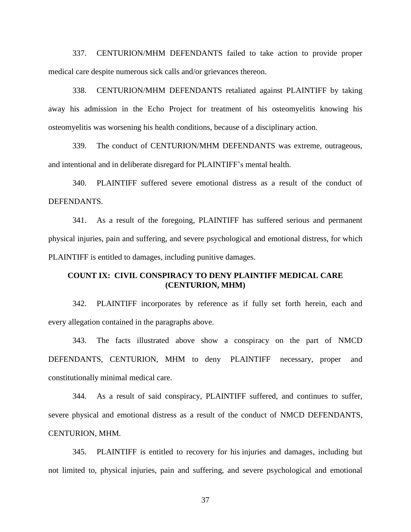337. CENTURION/MHM DEFENDANTS failed to take action to provide proper medical care despite numerous sick calls and/or grievances thereon.

338. CENTURION/MHM DEFENDANTS retaliated against PLAINTIFF by taking away his admission in the Echo Project for treatment of his osteomyelitis knowing his osteomyelitis was worsening his health conditions, because of a disciplinary action.

339. The conduct of CENTURION/MHM DEFENDANTS was extreme, outrageous, and intentional and in deliberate disregard for PLAINTIFF's mental health.

340. PLAINTIFF suffered severe emotional distress as a result of the conduct of DEFENDANTS.

341. As a result of the foregoing, PLAINTIFF has suffered serious and permanent physical injuries, pain and suffering, and severe psychological and emotional distress, for which PLAINTIFF is entitled to damages, including punitive damages.

### **COUNT IX: CIVIL CONSPIRACY TO DENY PLAINTIFF MEDICAL CARE (CENTURION, MHM)**

342. PLAINTIFF incorporates by reference as if fully set forth herein, each and every allegation contained in the paragraphs above.

343. The facts illustrated above show a conspiracy on the part of NMCD DEFENDANTS, CENTURION, MHM to deny PLAINTIFF necessary, proper and constitutionally minimal medical care.

344. As a result of said conspiracy, PLAINTIFF suffered, and continues to suffer, severe physical and emotional distress as a result of the conduct of NMCD DEFENDANTS, CENTURION, MHM.

345. PLAINTIFF is entitled to recovery for his injuries and damages, including but not limited to, physical injuries, pain and suffering, and severe psychological and emotional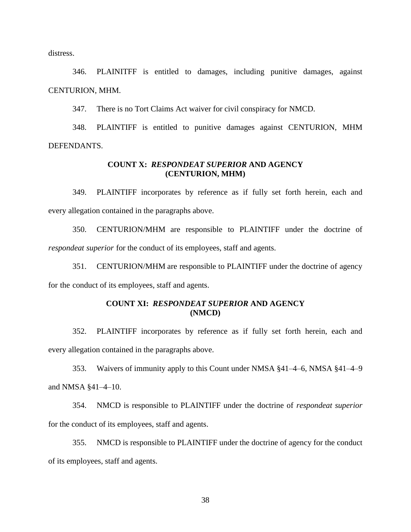distress.

346. PLAINITFF is entitled to damages, including punitive damages, against CENTURION, MHM.

347. There is no Tort Claims Act waiver for civil conspiracy for NMCD.

348. PLAINTIFF is entitled to punitive damages against CENTURION, MHM DEFENDANTS.

## **COUNT X:** *RESPONDEAT SUPERIOR* **AND AGENCY (CENTURION, MHM)**

349. PLAINTIFF incorporates by reference as if fully set forth herein, each and every allegation contained in the paragraphs above.

350. CENTURION/MHM are responsible to PLAINTIFF under the doctrine of *respondeat superior* for the conduct of its employees, staff and agents.

351. CENTURION/MHM are responsible to PLAINTIFF under the doctrine of agency for the conduct of its employees, staff and agents.

## **COUNT XI:** *RESPONDEAT SUPERIOR* **AND AGENCY (NMCD)**

352. PLAINTIFF incorporates by reference as if fully set forth herein, each and every allegation contained in the paragraphs above.

353. Waivers of immunity apply to this Count under NMSA §41–4–6, NMSA §41–4–9 and NMSA §41–4–10.

354. NMCD is responsible to PLAINTIFF under the doctrine of *respondeat superior* for the conduct of its employees, staff and agents.

355. NMCD is responsible to PLAINTIFF under the doctrine of agency for the conduct of its employees, staff and agents.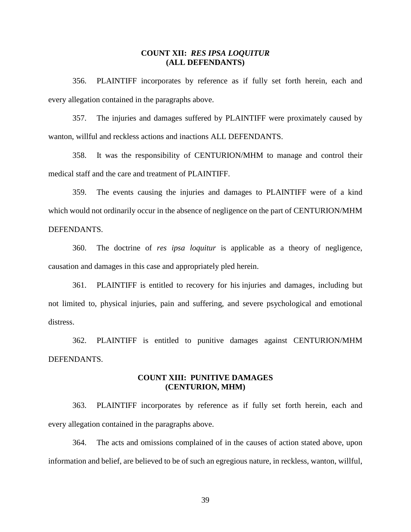#### **COUNT XII:** *RES IPSA LOQUITUR* **(ALL DEFENDANTS)**

356. PLAINTIFF incorporates by reference as if fully set forth herein, each and every allegation contained in the paragraphs above.

357. The injuries and damages suffered by PLAINTIFF were proximately caused by wanton, willful and reckless actions and inactions ALL DEFENDANTS.

358. It was the responsibility of CENTURION/MHM to manage and control their medical staff and the care and treatment of PLAINTIFF.

359. The events causing the injuries and damages to PLAINTIFF were of a kind which would not ordinarily occur in the absence of negligence on the part of CENTURION/MHM DEFENDANTS.

360. The doctrine of *res ipsa loquitur* is applicable as a theory of negligence, causation and damages in this case and appropriately pled herein.

361. PLAINTIFF is entitled to recovery for his injuries and damages, including but not limited to, physical injuries, pain and suffering, and severe psychological and emotional distress.

362. PLAINTIFF is entitled to punitive damages against CENTURION/MHM DEFENDANTS.

### **COUNT XIII: PUNITIVE DAMAGES (CENTURION, MHM)**

363. PLAINTIFF incorporates by reference as if fully set forth herein, each and every allegation contained in the paragraphs above.

364. The acts and omissions complained of in the causes of action stated above, upon information and belief, are believed to be of such an egregious nature, in reckless, wanton, willful,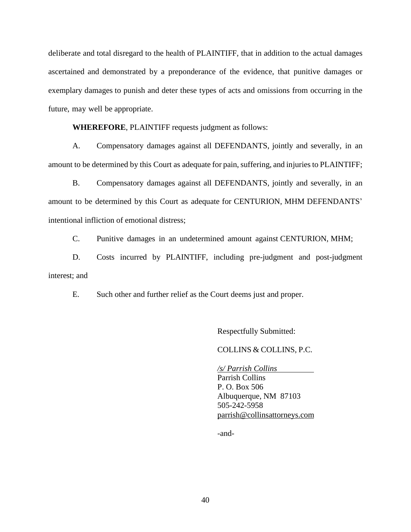deliberate and total disregard to the health of PLAINTIFF, that in addition to the actual damages ascertained and demonstrated by a preponderance of the evidence, that punitive damages or exemplary damages to punish and deter these types of acts and omissions from occurring in the future, may well be appropriate.

**WHEREFORE**, PLAINTIFF requests judgment as follows:

A. Compensatory damages against all DEFENDANTS, jointly and severally, in an amount to be determined by this Court as adequate for pain, suffering, and injuries to PLAINTIFF;

B. Compensatory damages against all DEFENDANTS, jointly and severally, in an amount to be determined by this Court as adequate for CENTURION, MHM DEFENDANTS' intentional infliction of emotional distress;

C. Punitive damages in an undetermined amount against CENTURION, MHM;

D. Costs incurred by PLAINTIFF, including pre-judgment and post-judgment interest; and

E. Such other and further relief as the Court deems just and proper.

Respectfully Submitted:

COLLINS & COLLINS, P.C.

*/s/ Parrish Collins* Parrish Collins P. O. Box 506 Albuquerque, NM 87103 505-242-5958 [parrish@collinsattorneys.com](mailto:parrish@collinsattorneys.com)

-and-